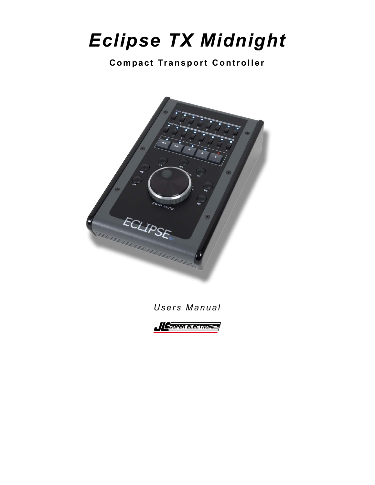# *Eclipse TX Midnight*

#### **Compact Tr ansport Controller**





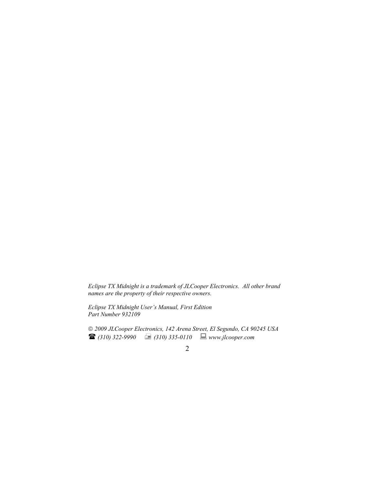*Eclipse TX Midnight is a trademark of JLCooper Electronics. All other brand names are the property of their respective owners.* 

*Eclipse TX Midnight User's Manual, First Edition Part Number 932109* 

 *2009 JLCooper Electronics, 142 Arena Street, El Segundo, CA 90245 USA*   $\bullet$  (310) 322-9990  $\bullet$  (310) 335-0110  $\bullet$  www.jlcooper.com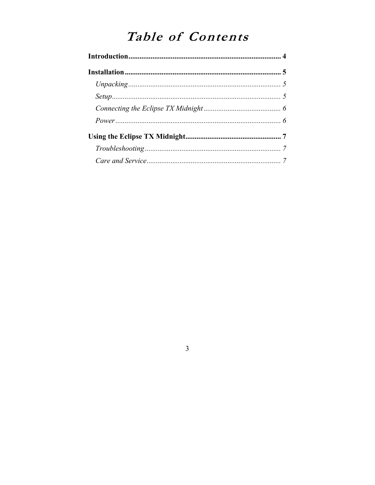# Table of Contents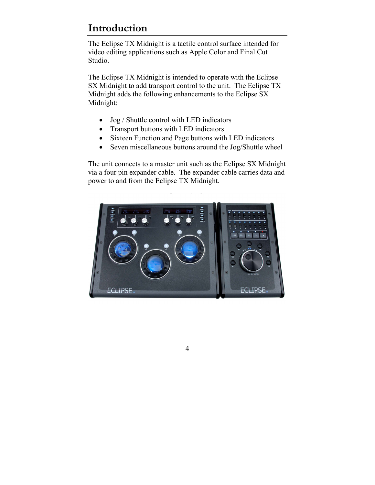## <span id="page-3-0"></span>**Introduction**

The Eclipse TX Midnight is a tactile control surface intended for video editing applications such as Apple Color and Final Cut Studio.

The Eclipse TX Midnight is intended to operate with the Eclipse SX Midnight to add transport control to the unit. The Eclipse TX Midnight adds the following enhancements to the Eclipse SX Midnight:

- Jog / Shuttle control with LED indicators
- Transport buttons with LED indicators
- Sixteen Function and Page buttons with LED indicators
- Seven miscellaneous buttons around the Jog/Shuttle wheel

The unit connects to a master unit such as the Eclipse SX Midnight via a four pin expander cable. The expander cable carries data and power to and from the Eclipse TX Midnight.

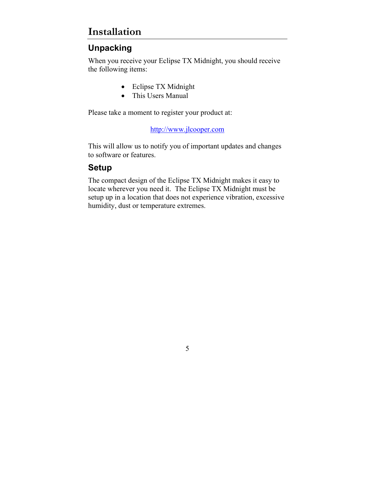### <span id="page-4-0"></span>**Installation**

#### **Unpacking**

When you receive your Eclipse TX Midnight, you should receive the following items:

- Eclipse TX Midnight
- This Users Manual

Please take a moment to register your product at:

[http://www.jlcooper.com](http://www.jlcooper.com/)

This will allow us to notify you of important updates and changes to software or features.

#### **Setup**

The compact design of the Eclipse TX Midnight makes it easy to locate wherever you need it. The Eclipse TX Midnight must be setup up in a location that does not experience vibration, excessive humidity, dust or temperature extremes.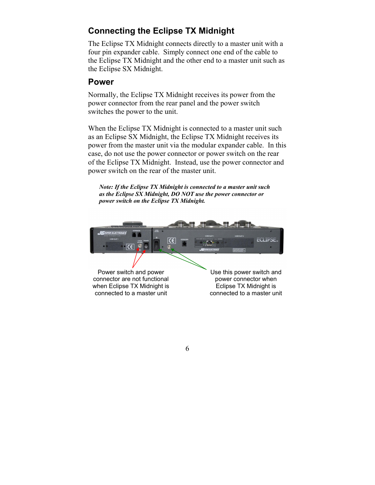#### <span id="page-5-0"></span>**Connecting the Eclipse TX Midnight**

The Eclipse TX Midnight connects directly to a master unit with a four pin expander cable. Simply connect one end of the cable to the Eclipse TX Midnight and the other end to a master unit such as the Eclipse SX Midnight.

#### **Power**

Normally, the Eclipse TX Midnight receives its power from the power connector from the rear panel and the power switch switches the power to the unit.

When the Eclipse TX Midnight is connected to a master unit such as an Eclipse SX Midnight, the Eclipse TX Midnight receives its power from the master unit via the modular expander cable. In this case, do not use the power connector or power switch on the rear of the Eclipse TX Midnight. Instead, use the power connector and power switch on the rear of the master unit.

*Note: If the Eclipse TX Midnight is connected to a master unit such as the Eclipse SX Midnight, DO NOT use the power connector or power switch on the Eclipse TX Midnight.* 



Power switch and power connector are not functional when Eclipse TX Midnight is connected to a master unit

Use this power switch and power connector when Eclipse TX Midnight is connected to a master unit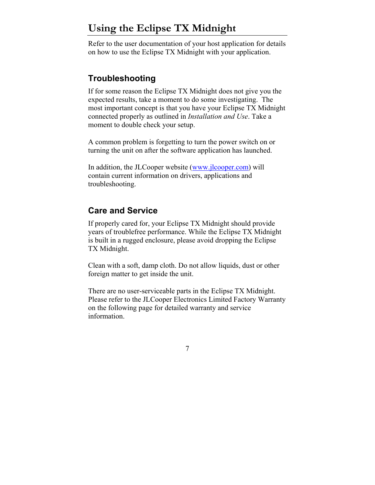# <span id="page-6-0"></span>**Using the Eclipse TX Midnight**

Refer to the user documentation of your host application for details on how to use the Eclipse TX Midnight with your application.

#### **Troubleshooting**

If for some reason the Eclipse TX Midnight does not give you the expected results, take a moment to do some investigating. The most important concept is that you have your Eclipse TX Midnight connected properly as outlined in *Installation and Use*. Take a moment to double check your setup.

A common problem is forgetting to turn the power switch on or turning the unit on after the software application has launched.

In addition, the JLCooper website ([www.jlcooper.com\)](http://www.jlcooper.com/) will contain current information on drivers, applications and troubleshooting.

#### **Care and Service**

If properly cared for, your Eclipse TX Midnight should provide years of troublefree performance. While the Eclipse TX Midnight is built in a rugged enclosure, please avoid dropping the Eclipse TX Midnight.

Clean with a soft, damp cloth. Do not allow liquids, dust or other foreign matter to get inside the unit.

There are no user-serviceable parts in the Eclipse TX Midnight. Please refer to the JLCooper Electronics Limited Factory Warranty on the following page for detailed warranty and service information.